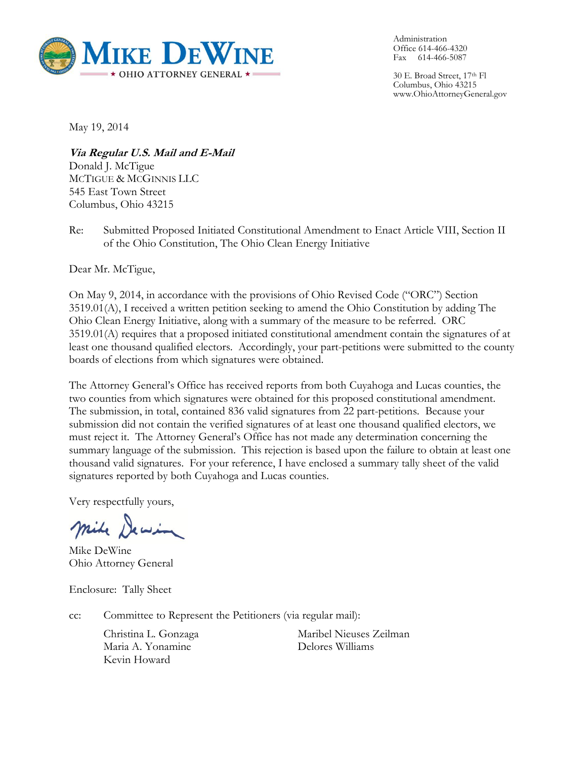

Administration Office 614-466-4320 Fax 614-466-5087

30 E. Broad Street, 17th Fl Columbus, Ohio 43215 www.OhioAttorneyGeneral.gov

May 19, 2014

**Via Regular U.S. Mail and E-Mail** Donald J. McTigue MCTIGUE & MCGINNIS LLC 545 East Town Street Columbus, Ohio 43215

Re: Submitted Proposed Initiated Constitutional Amendment to Enact Article VIII, Section II of the Ohio Constitution, The Ohio Clean Energy Initiative

Dear Mr. McTigue,

On May 9, 2014, in accordance with the provisions of Ohio Revised Code ("ORC") Section 3519.01(A), I received a written petition seeking to amend the Ohio Constitution by adding The Ohio Clean Energy Initiative, along with a summary of the measure to be referred. ORC 3519.01(A) requires that a proposed initiated constitutional amendment contain the signatures of at least one thousand qualified electors. Accordingly, your part-petitions were submitted to the county boards of elections from which signatures were obtained.

The Attorney General's Office has received reports from both Cuyahoga and Lucas counties, the two counties from which signatures were obtained for this proposed constitutional amendment. The submission, in total, contained 836 valid signatures from 22 part-petitions. Because your submission did not contain the verified signatures of at least one thousand qualified electors, we must reject it. The Attorney General's Office has not made any determination concerning the summary language of the submission. This rejection is based upon the failure to obtain at least one thousand valid signatures. For your reference, I have enclosed a summary tally sheet of the valid signatures reported by both Cuyahoga and Lucas counties.

Very respectfully yours,

mike Dewin

Mike DeWine Ohio Attorney General

Enclosure: Tally Sheet

cc: Committee to Represent the Petitioners (via regular mail):

Christina L. Gonzaga Maria A. Yonamine Kevin Howard

Maribel Nieuses Zeilman Delores Williams